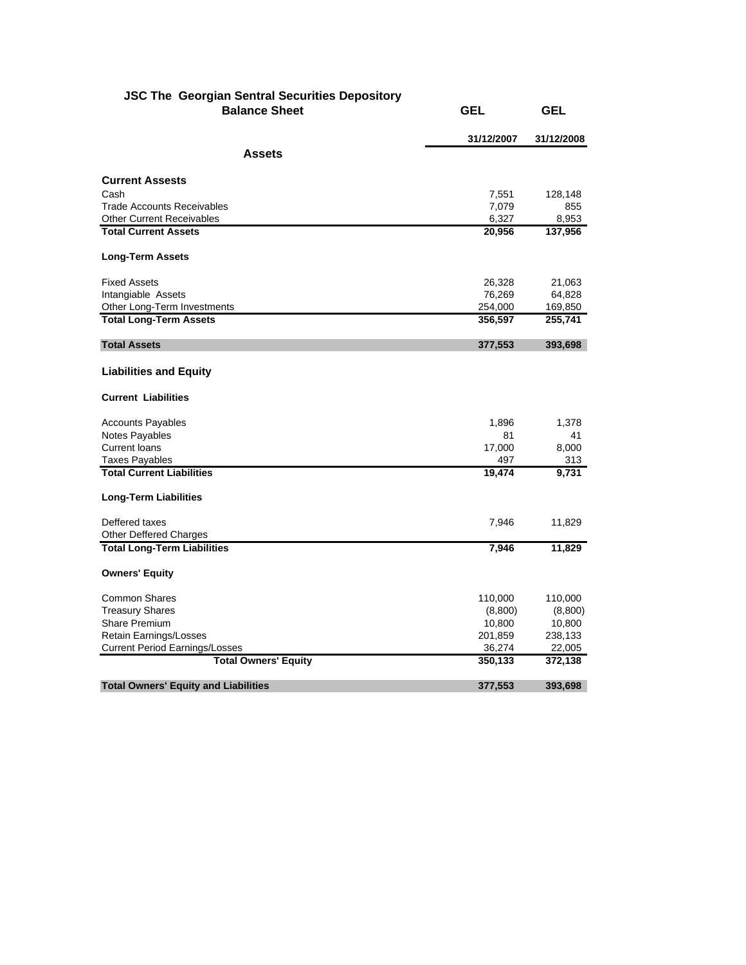| <b>JSC The Georgian Sentral Securities Depository</b><br><b>Balance Sheet</b> | GEL        | <b>GEL</b> |
|-------------------------------------------------------------------------------|------------|------------|
|                                                                               |            |            |
| <b>Assets</b>                                                                 | 31/12/2007 | 31/12/2008 |
|                                                                               |            |            |
| <b>Current Assests</b>                                                        |            |            |
| Cash                                                                          | 7,551      | 128,148    |
| <b>Trade Accounts Receivables</b>                                             | 7,079      | 855        |
| <b>Other Current Receivables</b>                                              | 6,327      | 8,953      |
| <b>Total Current Assets</b>                                                   | 20,956     | 137,956    |
| <b>Long-Term Assets</b>                                                       |            |            |
| <b>Fixed Assets</b>                                                           | 26,328     | 21,063     |
| Intangiable Assets                                                            | 76,269     | 64,828     |
| Other Long-Term Investments                                                   | 254,000    | 169,850    |
| <b>Total Long-Term Assets</b>                                                 | 356,597    | 255,741    |
| <b>Total Assets</b>                                                           | 377,553    | 393,698    |
| <b>Liabilities and Equity</b>                                                 |            |            |
| <b>Current Liabilities</b>                                                    |            |            |
| <b>Accounts Payables</b>                                                      | 1,896      | 1,378      |
| Notes Payables                                                                | 81         | 41         |
| <b>Current loans</b>                                                          | 17,000     | 8,000      |
| <b>Taxes Payables</b>                                                         | 497        | 313        |
| <b>Total Current Liabilities</b>                                              | 19,474     | 9,731      |
| <b>Long-Term Liabilities</b>                                                  |            |            |
| Deffered taxes                                                                | 7,946      | 11,829     |
| <b>Other Deffered Charges</b>                                                 |            |            |
| <b>Total Long-Term Liabilities</b>                                            | 7,946      | 11,829     |
| <b>Owners' Equity</b>                                                         |            |            |
| <b>Common Shares</b>                                                          | 110,000    | 110,000    |
| <b>Treasury Shares</b>                                                        | (8,800)    | (8,800)    |
| <b>Share Premium</b>                                                          | 10,800     | 10,800     |
| Retain Earnings/Losses                                                        | 201,859    | 238,133    |
| <b>Current Period Earnings/Losses</b>                                         | 36,274     | 22,005     |
| <b>Total Owners' Equity</b>                                                   | 350,133    | 372,138    |
| <b>Total Owners' Equity and Liabilities</b>                                   | 377,553    | 393,698    |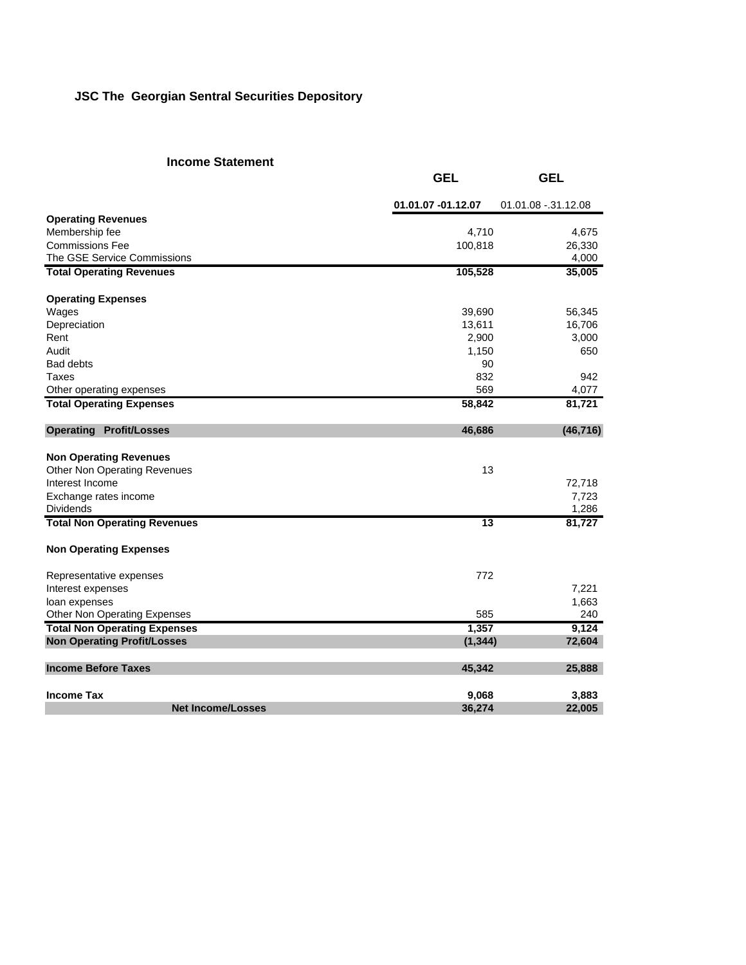# **JSC The Georgian Sentral Securities Depository**

#### **Income Statement**

|                                          | <b>GEL</b>         | <b>GEL</b>          |
|------------------------------------------|--------------------|---------------------|
|                                          | 01.01.07 -01.12.07 | 01.01.08 -.31.12.08 |
| <b>Operating Revenues</b>                |                    |                     |
| Membership fee                           | 4,710              | 4,675               |
| <b>Commissions Fee</b>                   | 100,818            | 26,330              |
| The GSE Service Commissions              |                    | 4,000               |
| <b>Total Operating Revenues</b>          | 105,528            | 35,005              |
| <b>Operating Expenses</b>                |                    |                     |
| Wages                                    | 39,690             | 56,345              |
| Depreciation                             | 13,611             | 16,706              |
| Rent                                     | 2,900              | 3,000               |
| Audit                                    | 1,150              | 650                 |
| <b>Bad debts</b>                         | 90                 |                     |
| Taxes                                    | 832                | 942                 |
| Other operating expenses                 | 569                | 4,077               |
| <b>Total Operating Expenses</b>          | 58,842             | 81,721              |
| <b>Operating</b><br><b>Profit/Losses</b> | 46,686             | (46, 716)           |
| <b>Non Operating Revenues</b>            |                    |                     |
| <b>Other Non Operating Revenues</b>      | 13                 |                     |
| Interest Income                          |                    | 72,718              |
| Exchange rates income                    |                    | 7,723               |
| Dividends                                |                    | 1,286               |
| <b>Total Non Operating Revenues</b>      | $\overline{13}$    | 81,727              |
| <b>Non Operating Expenses</b>            |                    |                     |
| Representative expenses                  | 772                |                     |
| Interest expenses                        |                    | 7,221               |
| loan expenses                            |                    | 1,663               |
| <b>Other Non Operating Expenses</b>      | 585                | 240                 |
| <b>Total Non Operating Expenses</b>      | 1,357              | 9,124               |
| <b>Non Operating Profit/Losses</b>       | (1, 344)           | 72,604              |
| <b>Income Before Taxes</b>               | 45,342             | 25,888              |
| <b>Income Tax</b>                        | 9,068              | 3,883               |
| <b>Net Income/Losses</b>                 | 36,274             | 22,005              |
|                                          |                    |                     |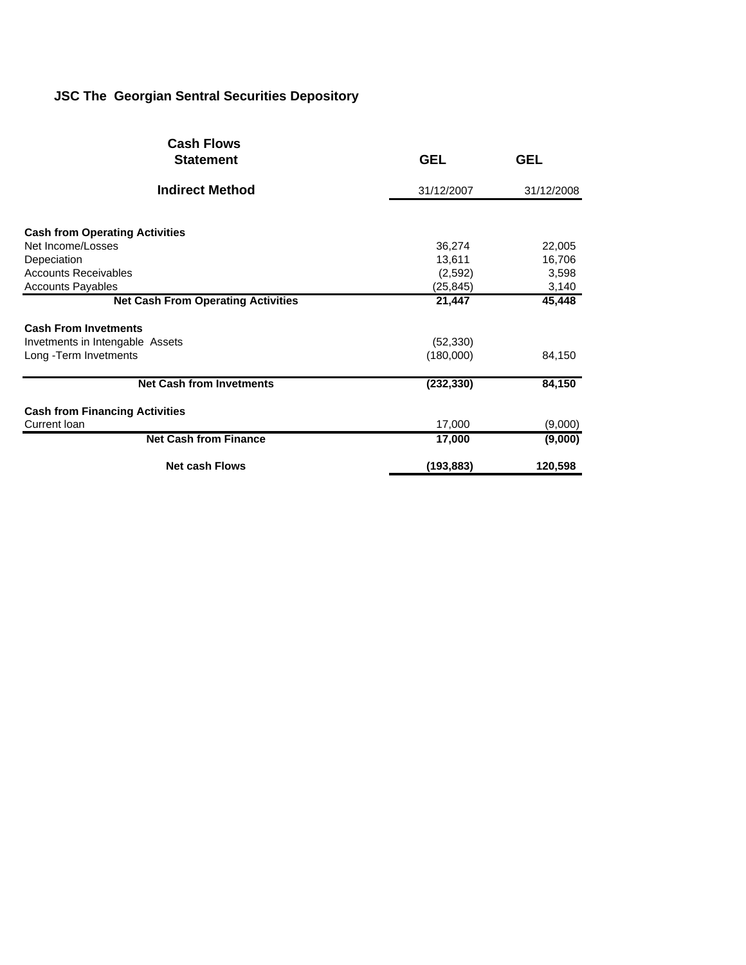# **JSC The Georgian Sentral Securities Depository**

| <b>Cash Flows</b><br><b>Statement</b>                                                                                                | <b>GEL</b>                               | <b>GEL</b>                         |
|--------------------------------------------------------------------------------------------------------------------------------------|------------------------------------------|------------------------------------|
| <b>Indirect Method</b>                                                                                                               | 31/12/2007                               | 31/12/2008                         |
| <b>Cash from Operating Activities</b><br>Net Income/Losses<br>Depeciation<br><b>Accounts Receivables</b><br><b>Accounts Payables</b> | 36,274<br>13,611<br>(2,592)<br>(25, 845) | 22,005<br>16,706<br>3,598<br>3,140 |
| <b>Net Cash From Operating Activities</b>                                                                                            | 21,447                                   | 45,448                             |
| <b>Cash From Invetments</b><br>Invetments in Intengable Assets<br>Long - Term Invetments                                             | (52, 330)<br>(180,000)                   | 84,150                             |
| <b>Net Cash from Invetments</b>                                                                                                      | (232, 330)                               | 84,150                             |
| <b>Cash from Financing Activities</b><br>Current Ioan                                                                                | 17,000                                   | (9,000)                            |
| <b>Net Cash from Finance</b>                                                                                                         | 17,000                                   | (9,000)                            |
| <b>Net cash Flows</b>                                                                                                                | (193, 883)                               | 120,598                            |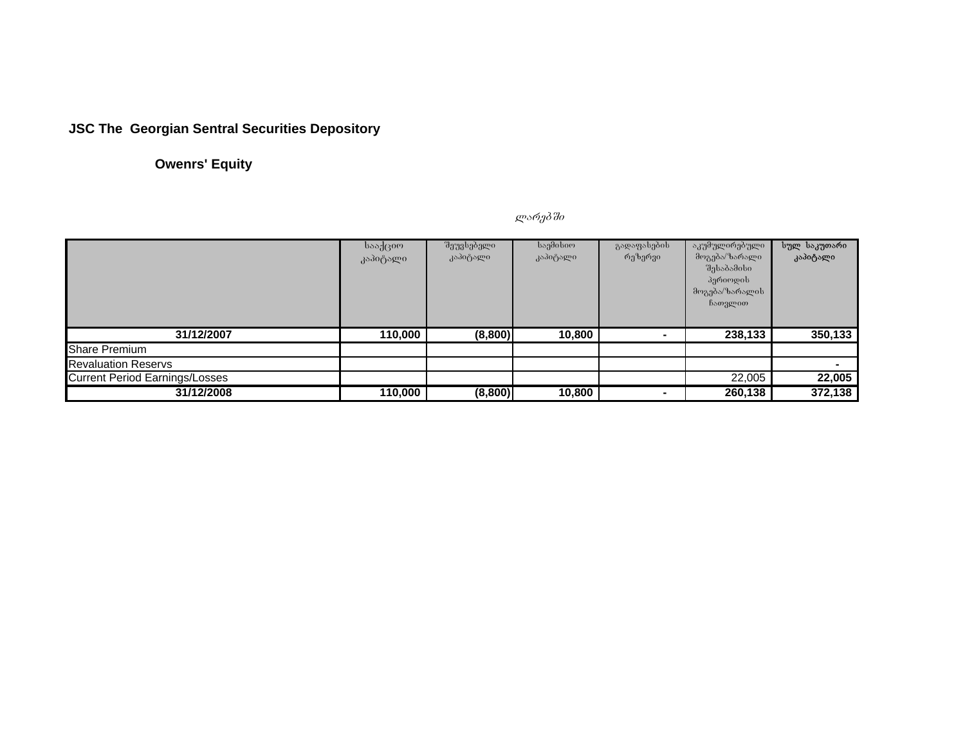# **JSC The Georgian Sentral Securities Depository**

### **Owenrs' Equity**

#### სააქციო კაპიტალი შეუვსებ<u>ე</u>ლი კაპიტალი საემისიო კაპიტალი გადაფასების რეზერვი აკუმულირებული <sub>-</sub> მოგება/ზარალი შესაბამისი ა<br>პერიოდის .<br>მოგება/ზარალის <sub>.</sub><br>\_ჩათვლით სულ საკუთარი კაპიტალი **31/12/2007 110,000 (8,800) 10,800 - 238,133 350,133** Share Premium Revaluation Reservs **-** Current Period Earnings/Losses 22,005 **22,005 31/12/2008 110,000 (8,800) 10,800 - 260,138 372,138**

ლარეპში